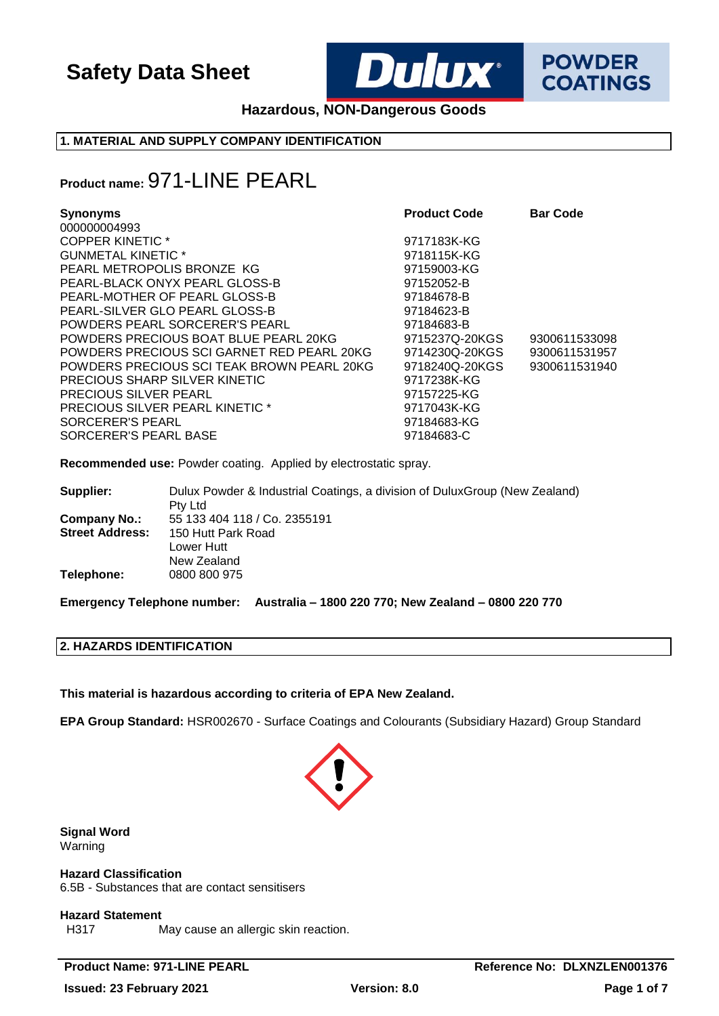

**Hazardous, NON-Dangerous Goods**

### **1. MATERIAL AND SUPPLY COMPANY IDENTIFICATION**

## **Product name:** 971-LINE PEARL

| <b>Synonyms</b><br>000000004993            | <b>Product Code</b> | <b>Bar Code</b> |
|--------------------------------------------|---------------------|-----------------|
| <b>COPPER KINETIC *</b>                    | 9717183K-KG         |                 |
| <b>GUNMETAL KINETIC *</b>                  | 9718115K-KG         |                 |
| PEARL METROPOLIS BRONZE KG                 | 97159003-KG         |                 |
| PEARL-BLACK ONYX PEARL GLOSS-B             | 97152052-B          |                 |
| PEARL-MOTHER OF PEARL GLOSS-B              | 97184678-B          |                 |
| PEARL-SILVER GLO PEARL GLOSS-B             | 97184623-B          |                 |
| POWDERS PEARL SORCERER'S PEARL             | 97184683-B          |                 |
| POWDERS PRECIOUS BOAT BLUE PEARL 20KG      | 9715237Q-20KGS      | 9300611533098   |
| POWDERS PRECIOUS SCI GARNET RED PEARL 20KG | 9714230Q-20KGS      | 9300611531957   |
| POWDERS PRECIOUS SCI TEAK BROWN PEARL 20KG | 9718240Q-20KGS      | 9300611531940   |
| PRECIOUS SHARP SILVER KINETIC              | 9717238K-KG         |                 |
| <b>PRECIOUS SILVER PEARL</b>               | 97157225-KG         |                 |
| <b>PRECIOUS SILVER PEARL KINETIC *</b>     | 9717043K-KG         |                 |
| SORCERER'S PEARL                           | 97184683-KG         |                 |
| SORCERER'S PEARL BASE                      | 97184683-C          |                 |

**Recommended use:** Powder coating. Applied by electrostatic spray.

| Supplier:              | Dulux Powder & Industrial Coatings, a division of DuluxGroup (New Zealand)<br>Pty Ltd |
|------------------------|---------------------------------------------------------------------------------------|
| Company No.:           | 55 133 404 118 / Co. 2355191                                                          |
| <b>Street Address:</b> | 150 Hutt Park Road                                                                    |
|                        | Lower Hutt                                                                            |
|                        | New Zealand                                                                           |
| Telephone:             | 0800 800 975                                                                          |

**Emergency Telephone number: Australia – 1800 220 770; New Zealand – 0800 220 770**

### **2. HAZARDS IDENTIFICATION**

**This material is hazardous according to criteria of EPA New Zealand.**

**EPA Group Standard:** HSR002670 - Surface Coatings and Colourants (Subsidiary Hazard) Group Standard



**Signal Word** Warning

**Hazard Classification** 6.5B - Substances that are contact sensitisers

# **Hazard Statement**<br>H317

May cause an allergic skin reaction.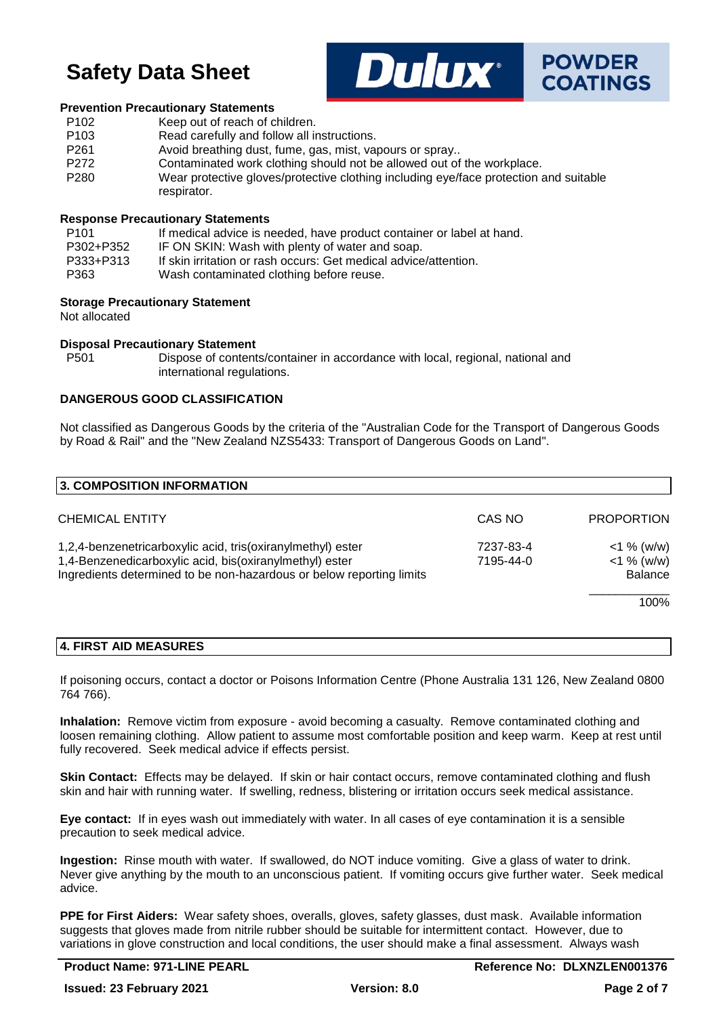

#### **Prevention Precautionary Statements**

| P <sub>102</sub> | Keep out of reach of children.                                                                       |
|------------------|------------------------------------------------------------------------------------------------------|
| P <sub>103</sub> | Read carefully and follow all instructions.                                                          |
| P <sub>261</sub> | Avoid breathing dust, fume, gas, mist, vapours or spray                                              |
| P <sub>272</sub> | Contaminated work clothing should not be allowed out of the workplace.                               |
| P <sub>280</sub> | Wear protective gloves/protective clothing including eye/face protection and suitable<br>respirator. |

#### **Response Precautionary Statements**

| P101      | If medical advice is needed, have product container or label at hand. |
|-----------|-----------------------------------------------------------------------|
| P302+P352 | IF ON SKIN: Wash with plenty of water and soap.                       |
| P333+P313 | If skin irritation or rash occurs: Get medical advice/attention.      |
| P363      | Wash contaminated clothing before reuse.                              |

#### **Storage Precautionary Statement**

Not allocated

#### **Disposal Precautionary Statement**

P501 Dispose of contents/container in accordance with local, regional, national and international regulations.

#### **DANGEROUS GOOD CLASSIFICATION**

Not classified as Dangerous Goods by the criteria of the "Australian Code for the Transport of Dangerous Goods by Road & Rail" and the "New Zealand NZS5433: Transport of Dangerous Goods on Land".

| 3. COMPOSITION INFORMATION                                                                                                                                                                     |                        |                                           |
|------------------------------------------------------------------------------------------------------------------------------------------------------------------------------------------------|------------------------|-------------------------------------------|
| <b>CHEMICAL ENTITY</b>                                                                                                                                                                         | CAS NO                 | <b>PROPORTION</b>                         |
| 1,2,4-benzenetricarboxylic acid, tris(oxiranylmethyl) ester<br>1,4-Benzenedicarboxylic acid, bis(oxiranylmethyl) ester<br>Ingredients determined to be non-hazardous or below reporting limits | 7237-83-4<br>7195-44-0 | $<$ 1 % (w/w)<br>$<$ 1 % (w/w)<br>Balance |
|                                                                                                                                                                                                |                        | 100%                                      |

### **4. FIRST AID MEASURES**

If poisoning occurs, contact a doctor or Poisons Information Centre (Phone Australia 131 126, New Zealand 0800 764 766).

**Inhalation:** Remove victim from exposure - avoid becoming a casualty. Remove contaminated clothing and loosen remaining clothing. Allow patient to assume most comfortable position and keep warm. Keep at rest until fully recovered. Seek medical advice if effects persist.

**Skin Contact:** Effects may be delayed. If skin or hair contact occurs, remove contaminated clothing and flush skin and hair with running water. If swelling, redness, blistering or irritation occurs seek medical assistance.

**Eye contact:** If in eyes wash out immediately with water. In all cases of eye contamination it is a sensible precaution to seek medical advice.

**Ingestion:** Rinse mouth with water. If swallowed, do NOT induce vomiting. Give a glass of water to drink. Never give anything by the mouth to an unconscious patient. If vomiting occurs give further water. Seek medical advice.

**PPE for First Aiders:** Wear safety shoes, overalls, gloves, safety glasses, dust mask. Available information suggests that gloves made from nitrile rubber should be suitable for intermittent contact. However, due to variations in glove construction and local conditions, the user should make a final assessment. Always wash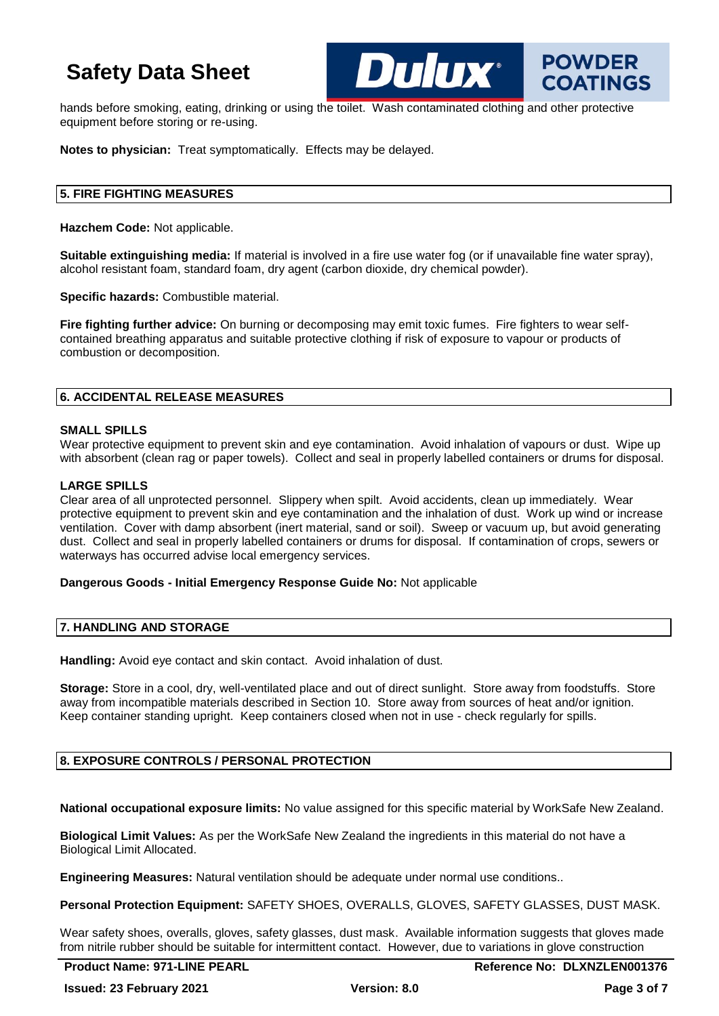hands before smoking, eating, drinking or using the toilet. Wash contaminated clothing and other protective equipment before storing or re-using.

**DIIIIX**\*

**Notes to physician:** Treat symptomatically. Effects may be delayed.

### **5. FIRE FIGHTING MEASURES**

**Hazchem Code:** Not applicable.

**Suitable extinguishing media:** If material is involved in a fire use water fog (or if unavailable fine water spray), alcohol resistant foam, standard foam, dry agent (carbon dioxide, dry chemical powder).

**Specific hazards:** Combustible material.

**Fire fighting further advice:** On burning or decomposing may emit toxic fumes. Fire fighters to wear selfcontained breathing apparatus and suitable protective clothing if risk of exposure to vapour or products of combustion or decomposition.

#### **6. ACCIDENTAL RELEASE MEASURES**

#### **SMALL SPILLS**

Wear protective equipment to prevent skin and eye contamination. Avoid inhalation of vapours or dust. Wipe up with absorbent (clean rag or paper towels). Collect and seal in properly labelled containers or drums for disposal.

#### **LARGE SPILLS**

Clear area of all unprotected personnel. Slippery when spilt. Avoid accidents, clean up immediately. Wear protective equipment to prevent skin and eye contamination and the inhalation of dust. Work up wind or increase ventilation. Cover with damp absorbent (inert material, sand or soil). Sweep or vacuum up, but avoid generating dust. Collect and seal in properly labelled containers or drums for disposal. If contamination of crops, sewers or waterways has occurred advise local emergency services.

#### **Dangerous Goods - Initial Emergency Response Guide No:** Not applicable

### **7. HANDLING AND STORAGE**

**Handling:** Avoid eye contact and skin contact. Avoid inhalation of dust.

**Storage:** Store in a cool, dry, well-ventilated place and out of direct sunlight. Store away from foodstuffs. Store away from incompatible materials described in Section 10. Store away from sources of heat and/or ignition. Keep container standing upright. Keep containers closed when not in use - check regularly for spills.

#### **8. EXPOSURE CONTROLS / PERSONAL PROTECTION**

**National occupational exposure limits:** No value assigned for this specific material by WorkSafe New Zealand.

**Biological Limit Values:** As per the WorkSafe New Zealand the ingredients in this material do not have a Biological Limit Allocated.

**Engineering Measures:** Natural ventilation should be adequate under normal use conditions..

**Personal Protection Equipment:** SAFETY SHOES, OVERALLS, GLOVES, SAFETY GLASSES, DUST MASK.

Wear safety shoes, overalls, gloves, safety glasses, dust mask. Available information suggests that gloves made from nitrile rubber should be suitable for intermittent contact. However, due to variations in glove construction

**POWDER** 

**COATINGS**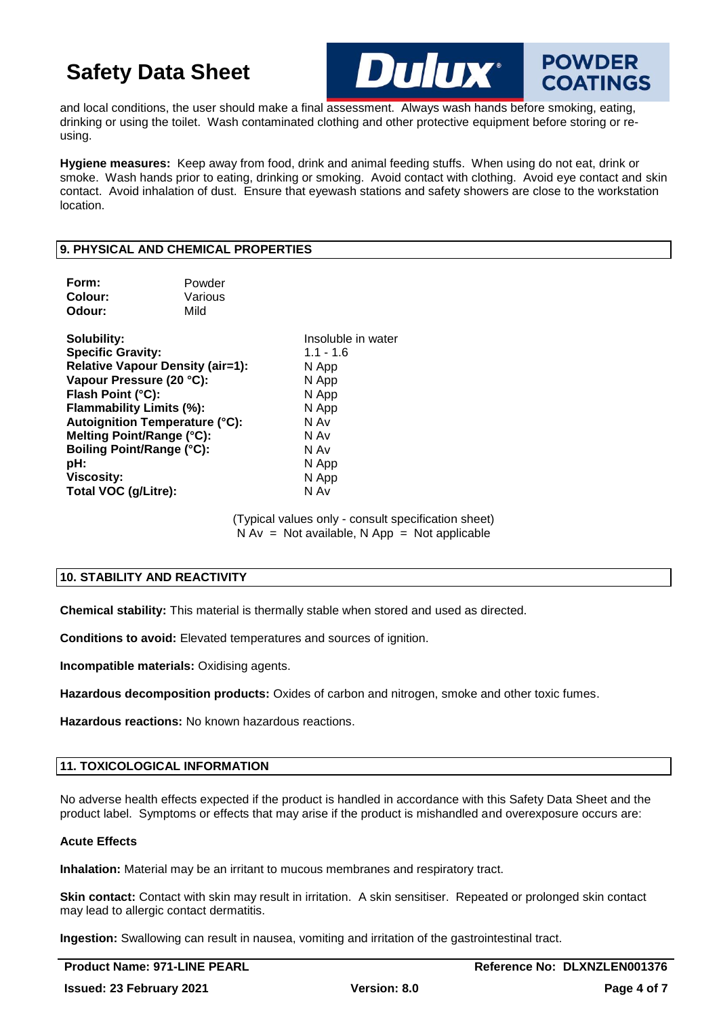and local conditions, the user should make a final assessment. Always wash hands before smoking, eating, drinking or using the toilet. Wash contaminated clothing and other protective equipment before storing or reusing.

**Hygiene measures:** Keep away from food, drink and animal feeding stuffs. When using do not eat, drink or smoke. Wash hands prior to eating, drinking or smoking. Avoid contact with clothing. Avoid eye contact and skin contact. Avoid inhalation of dust. Ensure that eyewash stations and safety showers are close to the workstation location.

Опінх

### **9. PHYSICAL AND CHEMICAL PROPERTIES**

| Form:<br>Colour:<br>Odour:                                                                                                                                                                                                                                                                                             | Powder<br>Various<br>Mild |                                                                                                                         |
|------------------------------------------------------------------------------------------------------------------------------------------------------------------------------------------------------------------------------------------------------------------------------------------------------------------------|---------------------------|-------------------------------------------------------------------------------------------------------------------------|
| Solubility:<br><b>Specific Gravity:</b><br><b>Relative Vapour Density (air=1):</b><br>Vapour Pressure (20 °C):<br>Flash Point (°C):<br>Flammability Limits (%):<br>Autoignition Temperature (°C):<br>Melting Point/Range (°C):<br><b>Boiling Point/Range (°C):</b><br>pH:<br><b>Viscosity:</b><br>Total VOC (g/Litre): |                           | Insoluble in water<br>$1.1 - 1.6$<br>N App<br>N App<br>N App<br>N App<br>N Av<br>N Av<br>N Av<br>N App<br>N App<br>N Av |

(Typical values only - consult specification sheet)  $N Av = Not available, N App = Not applicable$ 

#### **10. STABILITY AND REACTIVITY**

**Chemical stability:** This material is thermally stable when stored and used as directed.

**Conditions to avoid:** Elevated temperatures and sources of ignition.

**Incompatible materials:** Oxidising agents.

**Hazardous decomposition products:** Oxides of carbon and nitrogen, smoke and other toxic fumes.

**Hazardous reactions:** No known hazardous reactions.

### **11. TOXICOLOGICAL INFORMATION**

No adverse health effects expected if the product is handled in accordance with this Safety Data Sheet and the product label. Symptoms or effects that may arise if the product is mishandled and overexposure occurs are:

#### **Acute Effects**

**Inhalation:** Material may be an irritant to mucous membranes and respiratory tract.

**Skin contact:** Contact with skin may result in irritation. A skin sensitiser. Repeated or prolonged skin contact may lead to allergic contact dermatitis.

**Ingestion:** Swallowing can result in nausea, vomiting and irritation of the gastrointestinal tract.

**POWDER** 

**COATINGS**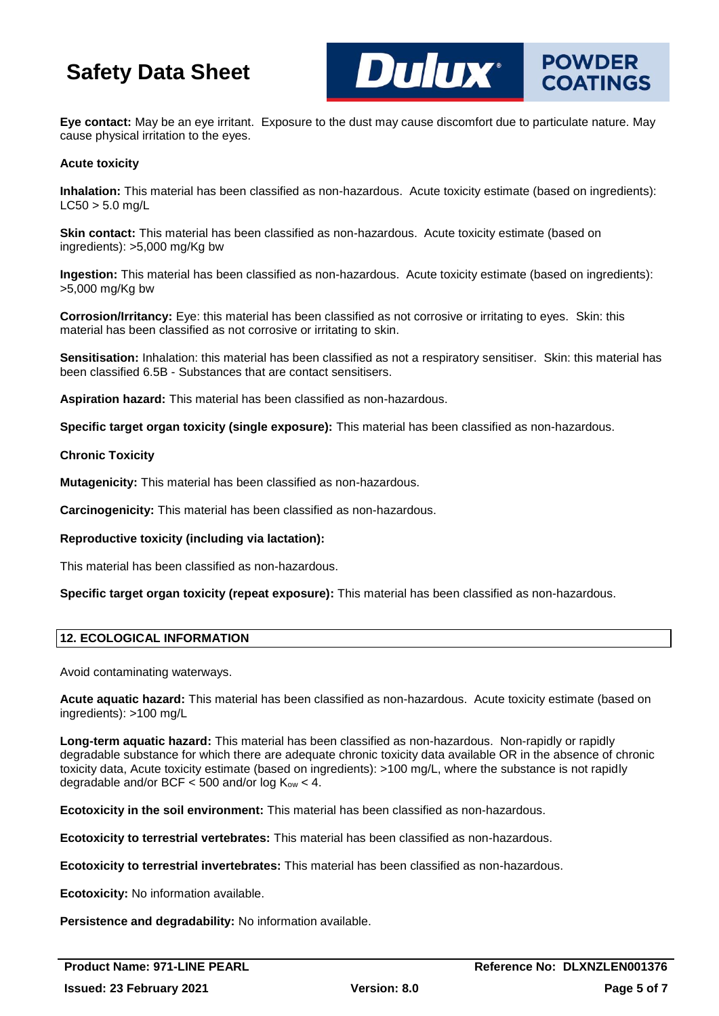**Eye contact:** May be an eye irritant. Exposure to the dust may cause discomfort due to particulate nature. May cause physical irritation to the eyes.

**DUIUX** POWDER

#### **Acute toxicity**

**Inhalation:** This material has been classified as non-hazardous. Acute toxicity estimate (based on ingredients):  $L C50 > 5.0$  mg/L

**Skin contact:** This material has been classified as non-hazardous. Acute toxicity estimate (based on ingredients): >5,000 mg/Kg bw

**Ingestion:** This material has been classified as non-hazardous. Acute toxicity estimate (based on ingredients): >5,000 mg/Kg bw

**Corrosion/Irritancy:** Eye: this material has been classified as not corrosive or irritating to eyes. Skin: this material has been classified as not corrosive or irritating to skin.

**Sensitisation:** Inhalation: this material has been classified as not a respiratory sensitiser. Skin: this material has been classified 6.5B - Substances that are contact sensitisers.

**Aspiration hazard:** This material has been classified as non-hazardous.

**Specific target organ toxicity (single exposure):** This material has been classified as non-hazardous.

#### **Chronic Toxicity**

**Mutagenicity:** This material has been classified as non-hazardous.

**Carcinogenicity:** This material has been classified as non-hazardous.

**Reproductive toxicity (including via lactation):**

This material has been classified as non-hazardous.

**Specific target organ toxicity (repeat exposure):** This material has been classified as non-hazardous.

#### **12. ECOLOGICAL INFORMATION**

Avoid contaminating waterways.

**Acute aquatic hazard:** This material has been classified as non-hazardous. Acute toxicity estimate (based on ingredients): >100 mg/L

**Long-term aquatic hazard:** This material has been classified as non-hazardous. Non-rapidly or rapidly degradable substance for which there are adequate chronic toxicity data available OR in the absence of chronic toxicity data, Acute toxicity estimate (based on ingredients): >100 mg/L, where the substance is not rapidly degradable and/or BCF  $<$  500 and/or log  $K_{ow}$  < 4.

**Ecotoxicity in the soil environment:** This material has been classified as non-hazardous.

**Ecotoxicity to terrestrial vertebrates:** This material has been classified as non-hazardous.

**Ecotoxicity to terrestrial invertebrates:** This material has been classified as non-hazardous.

**Ecotoxicity:** No information available.

**Persistence and degradability:** No information available.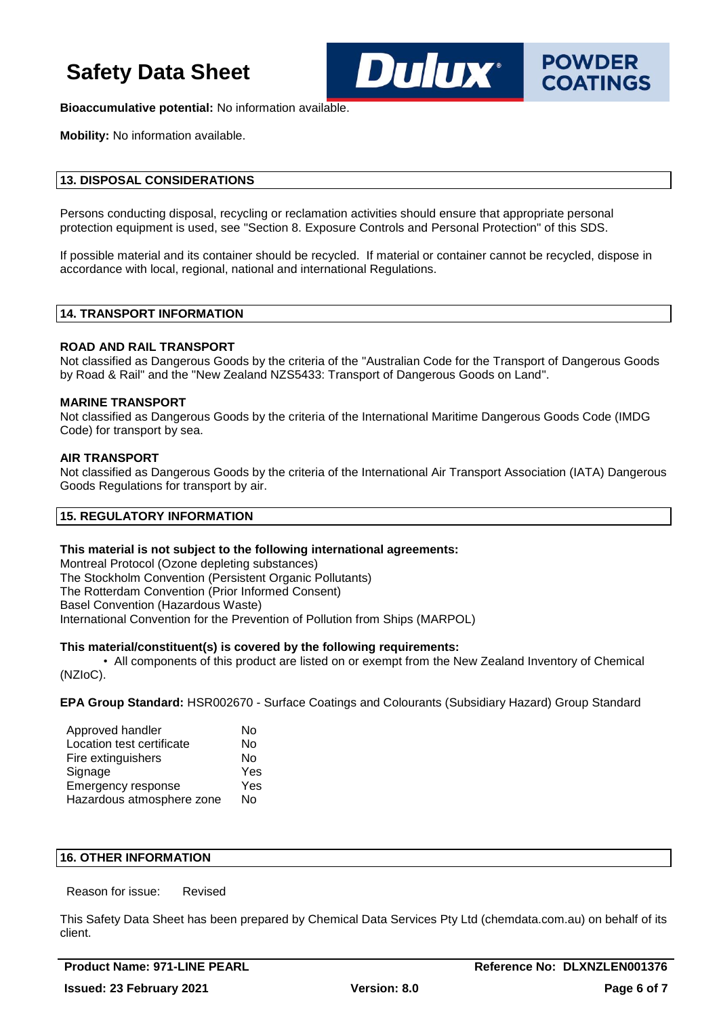

**Bioaccumulative potential:** No information available.

**Mobility:** No information available.

### **13. DISPOSAL CONSIDERATIONS**

Persons conducting disposal, recycling or reclamation activities should ensure that appropriate personal protection equipment is used, see "Section 8. Exposure Controls and Personal Protection" of this SDS.

If possible material and its container should be recycled. If material or container cannot be recycled, dispose in accordance with local, regional, national and international Regulations.

#### **14. TRANSPORT INFORMATION**

#### **ROAD AND RAIL TRANSPORT**

Not classified as Dangerous Goods by the criteria of the "Australian Code for the Transport of Dangerous Goods by Road & Rail" and the "New Zealand NZS5433: Transport of Dangerous Goods on Land".

#### **MARINE TRANSPORT**

Not classified as Dangerous Goods by the criteria of the International Maritime Dangerous Goods Code (IMDG Code) for transport by sea.

#### **AIR TRANSPORT**

Not classified as Dangerous Goods by the criteria of the International Air Transport Association (IATA) Dangerous Goods Regulations for transport by air.

#### **15. REGULATORY INFORMATION**

#### **This material is not subject to the following international agreements:**

Montreal Protocol (Ozone depleting substances) The Stockholm Convention (Persistent Organic Pollutants) The Rotterdam Convention (Prior Informed Consent) Basel Convention (Hazardous Waste) International Convention for the Prevention of Pollution from Ships (MARPOL)

#### **This material/constituent(s) is covered by the following requirements:**

• All components of this product are listed on or exempt from the New Zealand Inventory of Chemical (NZIoC).

**EPA Group Standard:** HSR002670 - Surface Coatings and Colourants (Subsidiary Hazard) Group Standard

| Approved handler          | No  |
|---------------------------|-----|
| Location test certificate | No  |
| Fire extinguishers        | N٥  |
| Signage                   | Yes |
| Emergency response        | Yes |
| Hazardous atmosphere zone | N٥  |

#### **16. OTHER INFORMATION**

Reason for issue: Revised

This Safety Data Sheet has been prepared by Chemical Data Services Pty Ltd (chemdata.com.au) on behalf of its client.